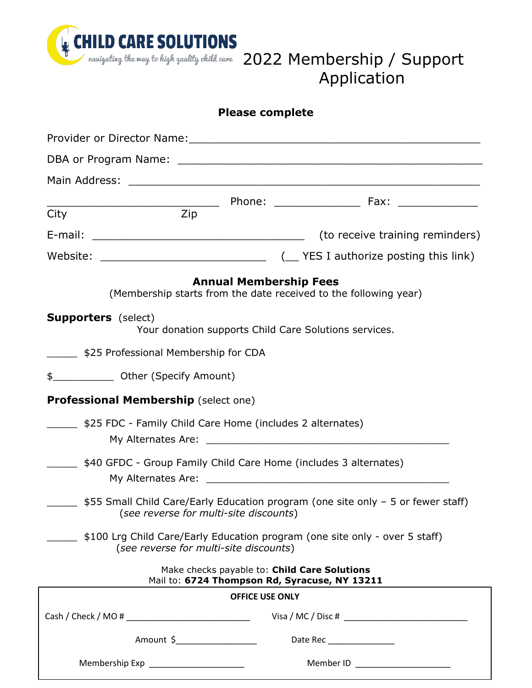

## navigating the may to high quality child care 2022 Membership / Support Application

| <b>Please complete</b> |  |  |  |  |
|------------------------|--|--|--|--|
|------------------------|--|--|--|--|

| City                                                                                                                       | Zip                                         |                               |                                                                                               |  |  |
|----------------------------------------------------------------------------------------------------------------------------|---------------------------------------------|-------------------------------|-----------------------------------------------------------------------------------------------|--|--|
| (to receive training reminders)                                                                                            |                                             |                               |                                                                                               |  |  |
|                                                                                                                            |                                             |                               |                                                                                               |  |  |
|                                                                                                                            |                                             | <b>Annual Membership Fees</b> | (Membership starts from the date received to the following year)                              |  |  |
|                                                                                                                            | <b>Supporters</b> (select)                  |                               | Your donation supports Child Care Solutions services.                                         |  |  |
| \$25 Professional Membership for CDA                                                                                       |                                             |                               |                                                                                               |  |  |
| \$ 0ther (Specify Amount)                                                                                                  |                                             |                               |                                                                                               |  |  |
|                                                                                                                            | <b>Professional Membership (select one)</b> |                               |                                                                                               |  |  |
| \$25 FDC - Family Child Care Home (includes 2 alternates)                                                                  |                                             |                               |                                                                                               |  |  |
| \$40 GFDC - Group Family Child Care Home (includes 3 alternates)                                                           |                                             |                               |                                                                                               |  |  |
| \$55 Small Child Care/Early Education program (one site only - 5 or fewer staff)<br>(see reverse for multi-site discounts) |                                             |                               |                                                                                               |  |  |
| \$100 Lrg Child Care/Early Education program (one site only - over 5 staff)<br>(see reverse for multi-site discounts)      |                                             |                               |                                                                                               |  |  |
|                                                                                                                            |                                             |                               | Make checks payable to: Child Care Solutions<br>Mail to: 6724 Thompson Rd, Syracuse, NY 13211 |  |  |
|                                                                                                                            |                                             | <b>OFFICE USE ONLY</b>        |                                                                                               |  |  |
|                                                                                                                            |                                             |                               |                                                                                               |  |  |
|                                                                                                                            |                                             |                               |                                                                                               |  |  |
|                                                                                                                            | Membership Exp _______________________      |                               | Member ID ________________________                                                            |  |  |